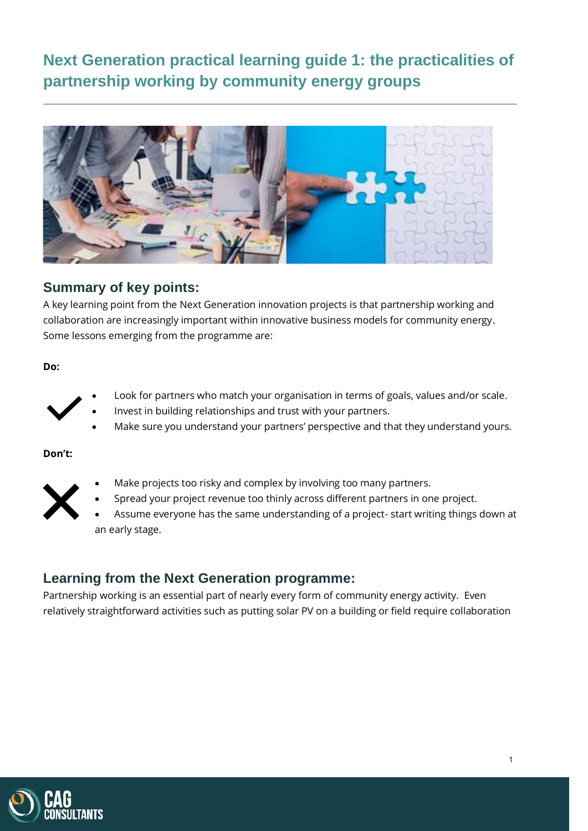**Next Generation practical learning guide 1: the practicalities of partnership working by community energy groups**



# **Summary of key points:**

A key learning point from the Next Generation innovation projects is that partnership working and collaboration are increasingly important within innovative business models for community energy. Some lessons emerging from the programme are:

**Do:**



- Look for partners who match your organisation in terms of goals, values and/or scale.
- Invest in building relationships and trust with your partners.
- Make sure you understand your partners' perspective and that they understand yours.

**Don't:**



- Make projects too risky and complex by involving too many partners.
- Spread your project revenue too thinly across different partners in one project.
- Assume everyone has the same understanding of a project- start writing things down at an early stage.

# **Learning from the Next Generation programme:**

Partnership working is an essential part of nearly every form of community energy activity. Even relatively straightforward activities such as putting solar PV on a building or field require collaboration

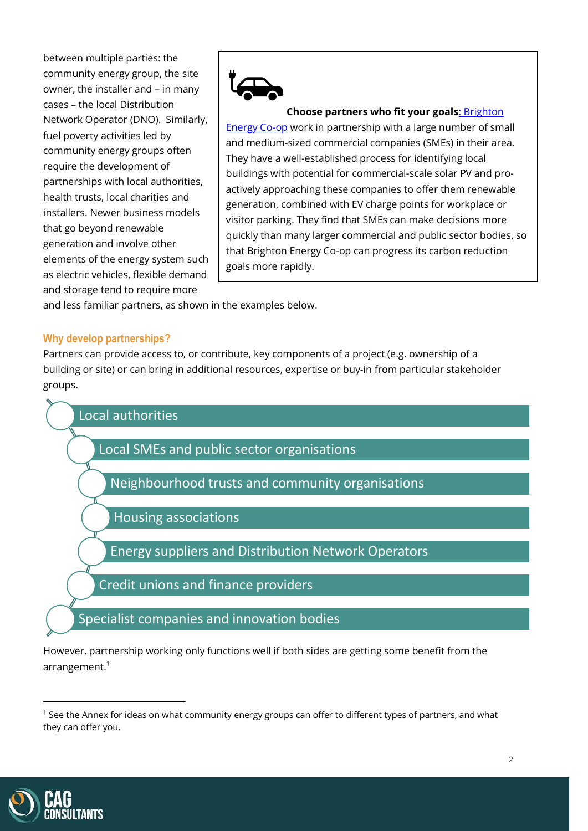between multiple parties: the community energy group, the site owner, the installer and – in many cases – the local Distribution Network Operator (DNO). Similarly, fuel poverty activities led by community energy groups often require the development of partnerships with local authorities, health trusts, local charities and installers. Newer business models that go beyond renewable generation and involve other elements of the energy system such as electric vehicles, flexible demand and storage tend to require more



#### **Choose partners who fit your goals**[: Brighton](https://brightonenergy.org.uk/)

[Energy Co-op](https://brightonenergy.org.uk/) work in partnership with a large number of small and medium-sized commercial companies (SMEs) in their area. They have a well-established process for identifying local buildings with potential for commercial-scale solar PV and proactively approaching these companies to offer them renewable generation, combined with EV charge points for workplace or visitor parking. They find that SMEs can make decisions more quickly than many larger commercial and public sector bodies, so that Brighton Energy Co-op can progress its carbon reduction goals more rapidly.

and less familiar partners, as shown in the examples below.

#### **Why develop partnerships?**

Partners can provide access to, or contribute, key components of a project (e.g. ownership of a building or site) or can bring in additional resources, expertise or buy-in from particular stakeholder groups.



However, partnership working only functions well if both sides are getting some benefit from the arrangement. 1



<sup>&</sup>lt;sup>1</sup> See the Annex for ideas on what community energy groups can offer to different types of partners, and what they can offer you.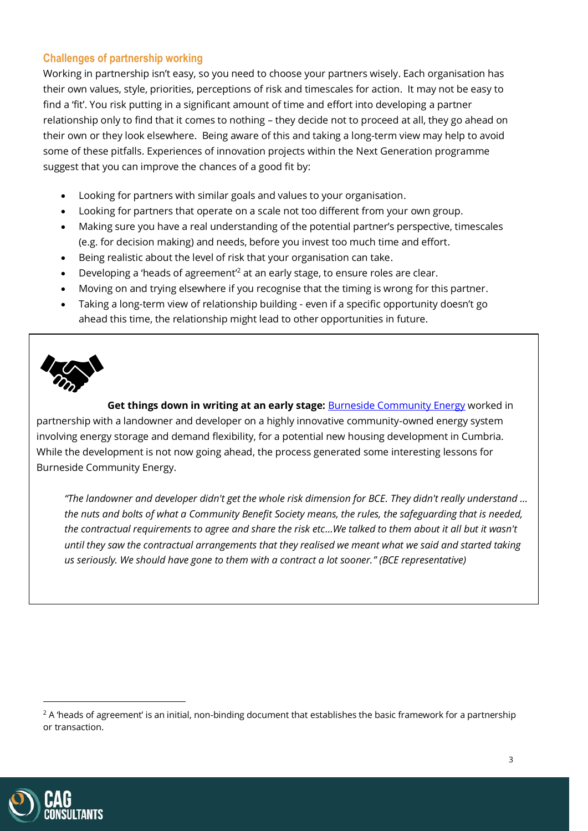## **Challenges of partnership working**

Working in partnership isn't easy, so you need to choose your partners wisely. Each organisation has their own values, style, priorities, perceptions of risk and timescales for action. It may not be easy to find a 'fit'. You risk putting in a significant amount of time and effort into developing a partner relationship only to find that it comes to nothing – they decide not to proceed at all, they go ahead on their own or they look elsewhere. Being aware of this and taking a long-term view may help to avoid some of these pitfalls. Experiences of innovation projects within the Next Generation programme suggest that you can improve the chances of a good fit by:

- Looking for partners with similar goals and values to your organisation.
- Looking for partners that operate on a scale not too different from your own group.
- Making sure you have a real understanding of the potential partner's perspective, timescales (e.g. for decision making) and needs, before you invest too much time and effort.
- Being realistic about the level of risk that your organisation can take.
- Developing a 'heads of agreement'<sup>2</sup> at an early stage, to ensure roles are clear.
- Moving on and trying elsewhere if you recognise that the timing is wrong for this partner.
- Taking a long-term view of relationship building even if a specific opportunity doesn't go ahead this time, the relationship might lead to other opportunities in future.



**Get things down in writing at an early stage: [Burneside Community Energy](https://bce.org.uk/) worked in** partnership with a landowner and developer on a highly innovative community-owned energy system involving energy storage and demand flexibility, for a potential new housing development in Cumbria. While the development is not now going ahead, the process generated some interesting lessons for Burneside Community Energy.

*"The landowner and developer didn't get the whole risk dimension for BCE. They didn't really understand … the nuts and bolts of what a Community Benefit Society means, the rules, the safeguarding that is needed, the contractual requirements to agree and share the risk etc…We talked to them about it all but it wasn't until they saw the contractual arrangements that they realised we meant what we said and started taking us seriously. We should have gone to them with a contract a lot sooner." (BCE representative)*



 $2$  A 'heads of agreement' is an initial, non-binding document that establishes the basic framework for a partnership or transaction.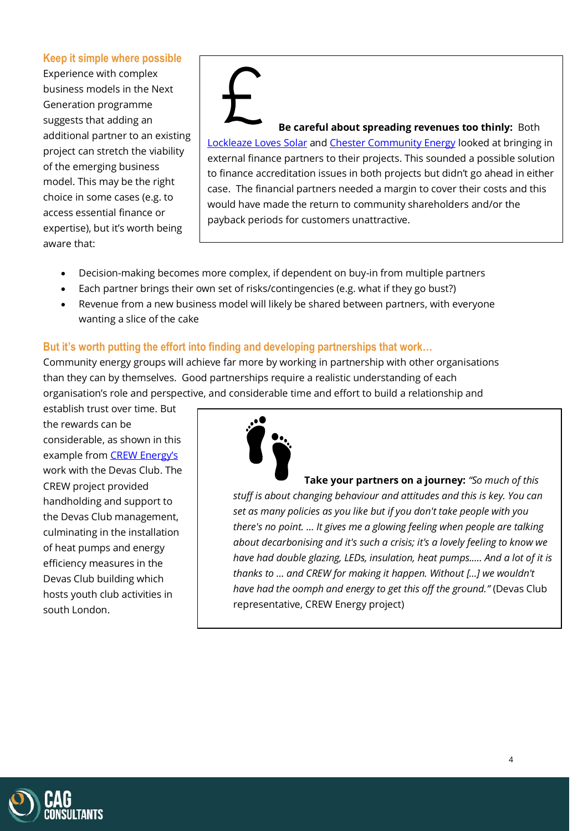### **Keep it simple where possible**

Experience with complex business models in the Next Generation programme suggests that adding an additional partner to an existing project can stretch the viability of the emerging business model. This may be the right choice in some cases (e.g. to access essential finance or expertise), but it's worth being aware that:

**Be careful about spreading revenues too thinly:** Both [Lockleaze Loves](https://www.lockleazehub.org.uk/lockleaze-loves-solar) Solar and [Chester Community Energy](http://www.chestercommunityenergy.org.uk/) looked at bringing in external finance partners to their projects. This sounded a possible solution to finance accreditation issues in both projects but didn't go ahead in either case. The financial partners needed a margin to cover their costs and this would have made the return to community shareholders and/or the payback periods for customers unattractive.

- Decision-making becomes more complex, if dependent on buy-in from multiple partners
- Each partner brings their own set of risks/contingencies (e.g. what if they go bust?)
- Revenue from a new business model will likely be shared between partners, with everyone wanting a slice of the cake

## **But it's worth putting the effort into finding and developing partnerships that work…**

Community energy groups will achieve far more by working in partnership with other organisations than they can by themselves. Good partnerships require a realistic understanding of each organisation's role and perspective, and considerable time and effort to build a relationship and

establish trust over time. But the rewards can be considerable, as shown in this example from [CREW Energy's](https://www.crewenergy.london/) work with the Devas Club. The CREW project provided handholding and support to the Devas Club management, culminating in the installation of heat pumps and energy efficiency measures in the Devas Club building which hosts youth club activities in south London.



**Take your partners on a journey:** *"So much of this stuff is about changing behaviour and attitudes and this is key. You can set as many policies as you like but if you don't take people with you there's no point. … It gives me a glowing feeling when people are talking about decarbonising and it's such a crisis; it's a lovely feeling to know we have had double glazing, LEDs, insulation, heat pumps.…. And a lot of it is thanks to … and CREW for making it happen. Without […] we wouldn't have had the oomph and energy to get this off the ground."* (Devas Club representative, CREW Energy project)

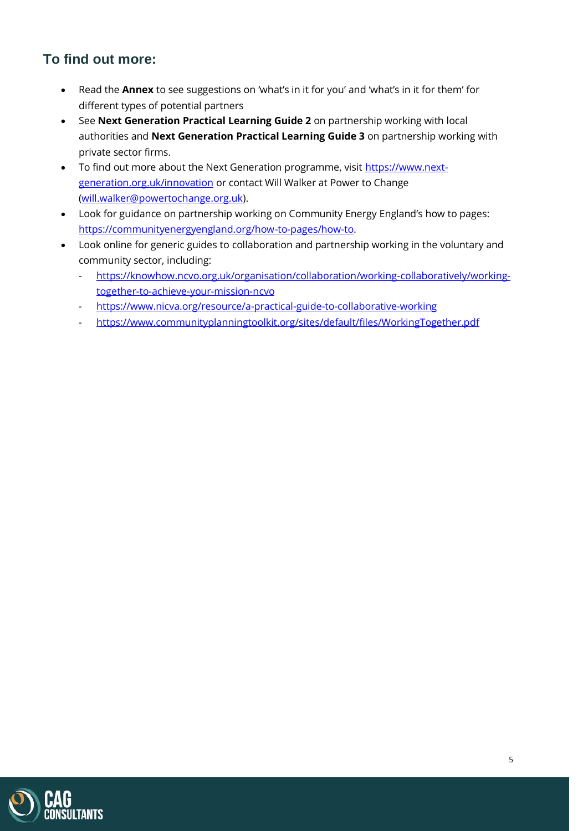# **To find out more:**

- Read the **Annex** to see suggestions on 'what's in it for you' and 'what's in it for them' for different types of potential partners
- See **Next Generation Practical Learning Guide 2** on partnership working with local authorities and **Next Generation Practical Learning Guide 3** on partnership working with private sector firms.
- To find out more about the Next Generation programme, visit [https://www.next](https://www.next-generation.org.uk/innovation)[generation.org.uk/innovation](https://www.next-generation.org.uk/innovation) or contact Will Walker at Power to Change [\(will.walker@powertochange.org.uk\)](mailto:will.walker@powertochange.org.uk).
- Look for guidance on partnership working on Community Energy England's how to pages: [https://communityenergyengland.org/how-to-pages/how-to.](https://communityenergyengland.org/how-to-pages/how-to)
- Look online for generic guides to collaboration and partnership working in the voluntary and community sector, including:
	- [https://knowhow.ncvo.org.uk/organisation/collaboration/working-collaboratively/working](https://knowhow.ncvo.org.uk/organisation/collaboration/working-collaboratively/working-together-to-achieve-your-mission-ncvo)[together-to-achieve-your-mission-ncvo](https://knowhow.ncvo.org.uk/organisation/collaboration/working-collaboratively/working-together-to-achieve-your-mission-ncvo)
	- <https://www.nicva.org/resource/a-practical-guide-to-collaborative-working>
	- <https://www.communityplanningtoolkit.org/sites/default/files/WorkingTogether.pdf>

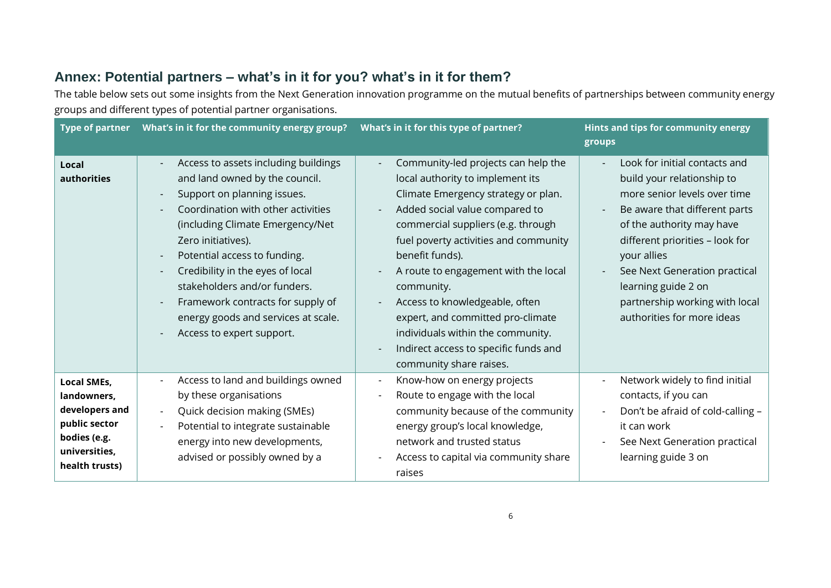# **Annex: Potential partners – what's in it for you? what's in it for them?**

The table below sets out some insights from the Next Generation innovation programme on the mutual benefits of partnerships between community energy groups and different types of potential partner organisations.

| <b>Type of partner</b>                                                                                                  | What's in it for the community energy group?                                                                                                                                                                                                                                                                                                                                                                                                   | What's in it for this type of partner?                                                                                                                                                                                                                                                                                                                                                                                                                                                   | Hints and tips for community energy<br>groups                                                                                                                                                                                                                                                                                       |
|-------------------------------------------------------------------------------------------------------------------------|------------------------------------------------------------------------------------------------------------------------------------------------------------------------------------------------------------------------------------------------------------------------------------------------------------------------------------------------------------------------------------------------------------------------------------------------|------------------------------------------------------------------------------------------------------------------------------------------------------------------------------------------------------------------------------------------------------------------------------------------------------------------------------------------------------------------------------------------------------------------------------------------------------------------------------------------|-------------------------------------------------------------------------------------------------------------------------------------------------------------------------------------------------------------------------------------------------------------------------------------------------------------------------------------|
| Local<br>authorities                                                                                                    | Access to assets including buildings<br>and land owned by the council.<br>Support on planning issues.<br>Coordination with other activities<br>(including Climate Emergency/Net<br>Zero initiatives).<br>Potential access to funding.<br>$\overline{\phantom{a}}$<br>Credibility in the eyes of local<br>stakeholders and/or funders.<br>Framework contracts for supply of<br>energy goods and services at scale.<br>Access to expert support. | Community-led projects can help the<br>local authority to implement its<br>Climate Emergency strategy or plan.<br>Added social value compared to<br>commercial suppliers (e.g. through<br>fuel poverty activities and community<br>benefit funds).<br>A route to engagement with the local<br>community.<br>Access to knowledgeable, often<br>expert, and committed pro-climate<br>individuals within the community.<br>Indirect access to specific funds and<br>community share raises. | Look for initial contacts and<br>build your relationship to<br>more senior levels over time<br>Be aware that different parts<br>of the authority may have<br>different priorities - look for<br>your allies<br>See Next Generation practical<br>learning guide 2 on<br>partnership working with local<br>authorities for more ideas |
| <b>Local SMEs,</b><br>landowners,<br>developers and<br>public sector<br>bodies (e.g.<br>universities,<br>health trusts) | Access to land and buildings owned<br>by these organisations<br>Quick decision making (SMEs)<br>$\overline{\phantom{a}}$<br>Potential to integrate sustainable<br>energy into new developments,<br>advised or possibly owned by a                                                                                                                                                                                                              | Know-how on energy projects<br>$\overline{\phantom{a}}$<br>Route to engage with the local<br>community because of the community<br>energy group's local knowledge,<br>network and trusted status<br>Access to capital via community share<br>raises                                                                                                                                                                                                                                      | Network widely to find initial<br>contacts, if you can<br>Don't be afraid of cold-calling -<br>it can work<br>See Next Generation practical<br>learning guide 3 on                                                                                                                                                                  |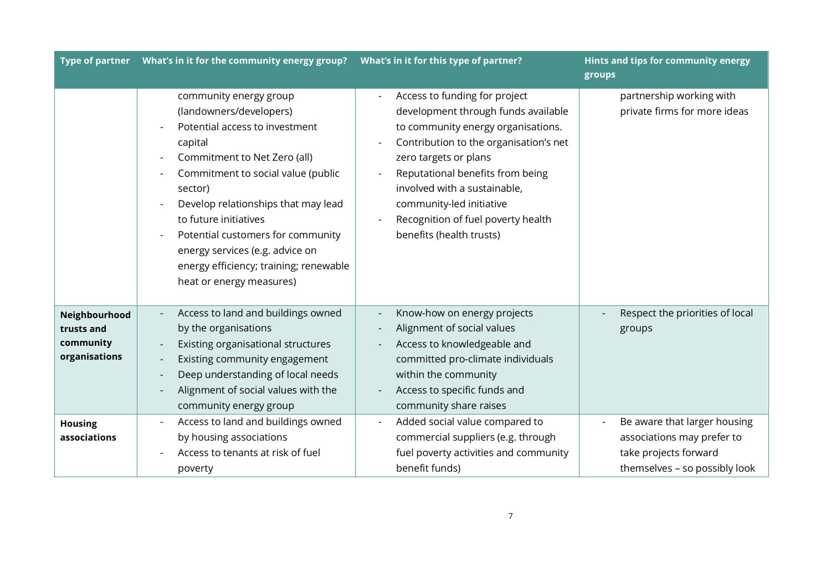|                                                           | Type of partner  What's in it for the community energy group?                                                                                                                                                                                                                                                                                                                                 | What's in it for this type of partner?                                                                                                                                                                                                                                                                                                          | Hints and tips for community energy<br>groups                                                                        |
|-----------------------------------------------------------|-----------------------------------------------------------------------------------------------------------------------------------------------------------------------------------------------------------------------------------------------------------------------------------------------------------------------------------------------------------------------------------------------|-------------------------------------------------------------------------------------------------------------------------------------------------------------------------------------------------------------------------------------------------------------------------------------------------------------------------------------------------|----------------------------------------------------------------------------------------------------------------------|
|                                                           | community energy group<br>(landowners/developers)<br>Potential access to investment<br>capital<br>Commitment to Net Zero (all)<br>Commitment to social value (public<br>sector)<br>Develop relationships that may lead<br>to future initiatives<br>Potential customers for community<br>energy services (e.g. advice on<br>energy efficiency; training; renewable<br>heat or energy measures) | Access to funding for project<br>development through funds available<br>to community energy organisations.<br>Contribution to the organisation's net<br>zero targets or plans<br>Reputational benefits from being<br>involved with a sustainable,<br>community-led initiative<br>Recognition of fuel poverty health<br>benefits (health trusts) | partnership working with<br>private firms for more ideas                                                             |
| Neighbourhood<br>trusts and<br>community<br>organisations | Access to land and buildings owned<br>by the organisations<br>Existing organisational structures<br>Existing community engagement<br>Deep understanding of local needs<br>Alignment of social values with the<br>community energy group                                                                                                                                                       | Know-how on energy projects<br>Alignment of social values<br>Access to knowledgeable and<br>committed pro-climate individuals<br>within the community<br>Access to specific funds and<br>community share raises                                                                                                                                 | Respect the priorities of local<br>groups                                                                            |
| <b>Housing</b><br>associations                            | Access to land and buildings owned<br>by housing associations<br>Access to tenants at risk of fuel<br>poverty                                                                                                                                                                                                                                                                                 | Added social value compared to<br>commercial suppliers (e.g. through<br>fuel poverty activities and community<br>benefit funds)                                                                                                                                                                                                                 | Be aware that larger housing<br>associations may prefer to<br>take projects forward<br>themselves - so possibly look |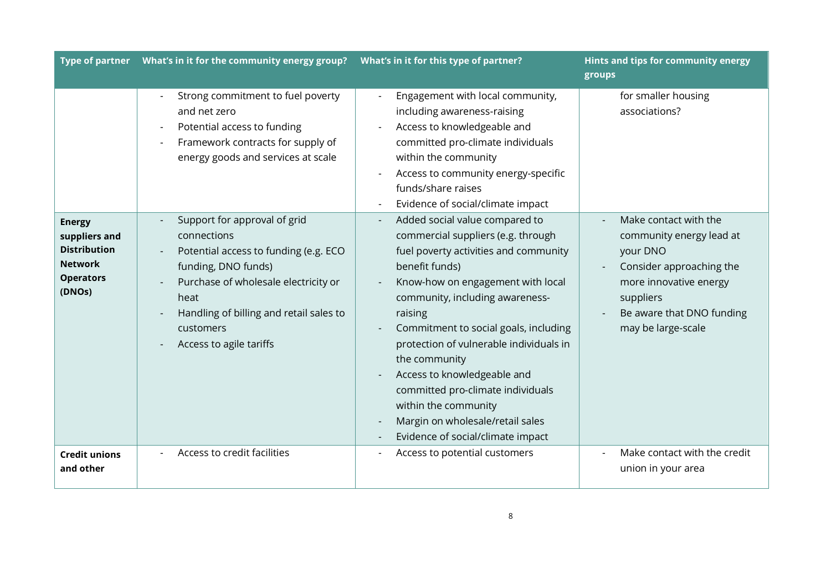|                                                                                                       |                                                                                                                                                                                                                                                | What's in it for this type of partner?                                                                                                                                                                                                                                                                                                                                                                                                                                                       | Hints and tips for community energy<br>groups                                                                                                                                       |
|-------------------------------------------------------------------------------------------------------|------------------------------------------------------------------------------------------------------------------------------------------------------------------------------------------------------------------------------------------------|----------------------------------------------------------------------------------------------------------------------------------------------------------------------------------------------------------------------------------------------------------------------------------------------------------------------------------------------------------------------------------------------------------------------------------------------------------------------------------------------|-------------------------------------------------------------------------------------------------------------------------------------------------------------------------------------|
|                                                                                                       | Strong commitment to fuel poverty<br>and net zero<br>Potential access to funding<br>Framework contracts for supply of<br>energy goods and services at scale                                                                                    | Engagement with local community,<br>including awareness-raising<br>Access to knowledgeable and<br>committed pro-climate individuals<br>within the community<br>Access to community energy-specific<br>funds/share raises<br>Evidence of social/climate impact                                                                                                                                                                                                                                | for smaller housing<br>associations?                                                                                                                                                |
| <b>Energy</b><br>suppliers and<br><b>Distribution</b><br><b>Network</b><br><b>Operators</b><br>(DNOs) | Support for approval of grid<br>connections<br>Potential access to funding (e.g. ECO<br>funding, DNO funds)<br>Purchase of wholesale electricity or<br>heat<br>Handling of billing and retail sales to<br>customers<br>Access to agile tariffs | Added social value compared to<br>commercial suppliers (e.g. through<br>fuel poverty activities and community<br>benefit funds)<br>Know-how on engagement with local<br>community, including awareness-<br>raising<br>Commitment to social goals, including<br>protection of vulnerable individuals in<br>the community<br>Access to knowledgeable and<br>committed pro-climate individuals<br>within the community<br>Margin on wholesale/retail sales<br>Evidence of social/climate impact | Make contact with the<br>community energy lead at<br>your DNO<br>Consider approaching the<br>more innovative energy<br>suppliers<br>Be aware that DNO funding<br>may be large-scale |
| <b>Credit unions</b><br>and other                                                                     | Access to credit facilities                                                                                                                                                                                                                    | Access to potential customers                                                                                                                                                                                                                                                                                                                                                                                                                                                                | Make contact with the credit<br>union in your area                                                                                                                                  |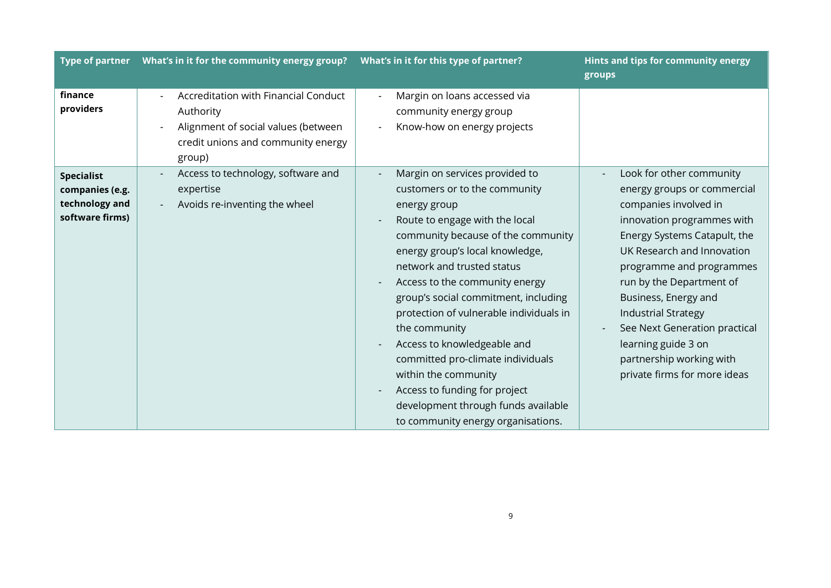|                                                                           |                                                                                                                                          | What's in it for this type of partner?                                                                                                                                                                                                                                                                                                                                                                                                                                                                                                                                   | Hints and tips for community energy<br>groups                                                                                                                                                                                                                                                                                                                                                                  |
|---------------------------------------------------------------------------|------------------------------------------------------------------------------------------------------------------------------------------|--------------------------------------------------------------------------------------------------------------------------------------------------------------------------------------------------------------------------------------------------------------------------------------------------------------------------------------------------------------------------------------------------------------------------------------------------------------------------------------------------------------------------------------------------------------------------|----------------------------------------------------------------------------------------------------------------------------------------------------------------------------------------------------------------------------------------------------------------------------------------------------------------------------------------------------------------------------------------------------------------|
| finance<br>providers                                                      | Accreditation with Financial Conduct<br>Authority<br>Alignment of social values (between<br>credit unions and community energy<br>group) | Margin on loans accessed via<br>community energy group<br>Know-how on energy projects                                                                                                                                                                                                                                                                                                                                                                                                                                                                                    |                                                                                                                                                                                                                                                                                                                                                                                                                |
| <b>Specialist</b><br>companies (e.g.<br>technology and<br>software firms) | Access to technology, software and<br>expertise<br>Avoids re-inventing the wheel                                                         | Margin on services provided to<br>customers or to the community<br>energy group<br>Route to engage with the local<br>community because of the community<br>energy group's local knowledge,<br>network and trusted status<br>Access to the community energy<br>group's social commitment, including<br>protection of vulnerable individuals in<br>the community<br>Access to knowledgeable and<br>committed pro-climate individuals<br>within the community<br>Access to funding for project<br>development through funds available<br>to community energy organisations. | Look for other community<br>energy groups or commercial<br>companies involved in<br>innovation programmes with<br>Energy Systems Catapult, the<br>UK Research and Innovation<br>programme and programmes<br>run by the Department of<br>Business, Energy and<br><b>Industrial Strategy</b><br>See Next Generation practical<br>learning guide 3 on<br>partnership working with<br>private firms for more ideas |